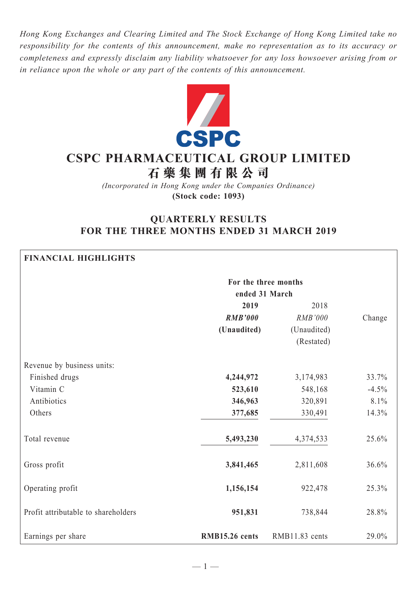*Hong Kong Exchanges and Clearing Limited and The Stock Exchange of Hong Kong Limited take no responsibility for the contents of this announcement, make no representation as to its accuracy or completeness and expressly disclaim any liability whatsoever for any loss howsoever arising from or in reliance upon the whole or any part of the contents of this announcement.*



# **CSPC Pharmaceutical Group Limited 石 藥 集 團 有 限 公 司**

*(Incorporated in Hong Kong under the Companies Ordinance)* **(Stock code: 1093)**

# **QUARTERLY RESULTS FOR THE THREE MONTHS ENDED 31 MARCH 2019**

| <b>FINANCIAL HIGHLIGHTS</b>         |                      |                |         |  |  |  |  |  |
|-------------------------------------|----------------------|----------------|---------|--|--|--|--|--|
|                                     | For the three months |                |         |  |  |  |  |  |
|                                     | ended 31 March       |                |         |  |  |  |  |  |
|                                     | 2019                 |                |         |  |  |  |  |  |
|                                     | <b>RMB'000</b>       | RMB'000        | Change  |  |  |  |  |  |
|                                     | (Unaudited)          | (Unaudited)    |         |  |  |  |  |  |
|                                     |                      | (Restated)     |         |  |  |  |  |  |
| Revenue by business units:          |                      |                |         |  |  |  |  |  |
| Finished drugs                      | 4,244,972            | 3,174,983      | 33.7%   |  |  |  |  |  |
| Vitamin C                           | 523,610              | 548,168        | $-4.5%$ |  |  |  |  |  |
| Antibiotics                         | 346,963              | 320,891        | 8.1%    |  |  |  |  |  |
| Others                              | 377,685              | 330,491        | 14.3%   |  |  |  |  |  |
| Total revenue                       | 5,493,230            | 4,374,533      | 25.6%   |  |  |  |  |  |
| Gross profit                        | 3,841,465            | 2,811,608      | 36.6%   |  |  |  |  |  |
| Operating profit                    | 1,156,154            | 922,478        | 25.3%   |  |  |  |  |  |
| Profit attributable to shareholders | 951,831              | 738,844        | 28.8%   |  |  |  |  |  |
| Earnings per share                  | RMB15.26 cents       | RMB11.83 cents | 29.0%   |  |  |  |  |  |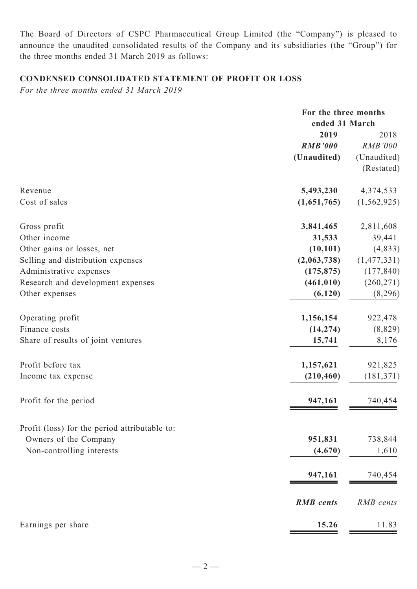The Board of Directors of CSPC Pharmaceutical Group Limited (the "Company") is pleased to announce the unaudited consolidated results of the Company and its subsidiaries (the "Group") for the three months ended 31 March 2019 as follows:

## **Condensed CONSOLIDATED STATEMENT OF PROFIT OR LOSS**

*For the three months ended 31 March 2019*

|                                               |                  | For the three months<br>ended 31 March |  |  |
|-----------------------------------------------|------------------|----------------------------------------|--|--|
|                                               | 2019             | 2018                                   |  |  |
|                                               | <b>RMB'000</b>   | <b>RMB'000</b>                         |  |  |
|                                               | (Unaudited)      | (Unaudited)                            |  |  |
|                                               |                  | (Restated)                             |  |  |
| Revenue                                       | 5,493,230        | 4,374,533                              |  |  |
| Cost of sales                                 | (1,651,765)      | (1, 562, 925)                          |  |  |
| Gross profit                                  | 3,841,465        | 2,811,608                              |  |  |
| Other income                                  | 31,533           | 39,441                                 |  |  |
| Other gains or losses, net                    | (10, 101)        | (4, 833)                               |  |  |
| Selling and distribution expenses             | (2,063,738)      | (1,477,331)                            |  |  |
| Administrative expenses                       | (175, 875)       | (177, 840)                             |  |  |
| Research and development expenses             | (461, 010)       | (260, 271)                             |  |  |
| Other expenses                                | (6, 120)         | (8,296)                                |  |  |
| Operating profit                              | 1,156,154        | 922,478                                |  |  |
| Finance costs                                 | (14, 274)        | (8, 829)                               |  |  |
| Share of results of joint ventures            | 15,741           | 8,176                                  |  |  |
| Profit before tax                             | 1,157,621        | 921,825                                |  |  |
| Income tax expense                            | (210, 460)       | (181, 371)                             |  |  |
| Profit for the period                         | 947,161          | 740,454                                |  |  |
| Profit (loss) for the period attributable to: |                  |                                        |  |  |
| Owners of the Company                         | 951,831          | 738,844                                |  |  |
| Non-controlling interests                     | (4,670)          | 1,610                                  |  |  |
|                                               | 947,161          | 740,454                                |  |  |
|                                               | <b>RMB</b> cents | RMB cents                              |  |  |
| Earnings per share                            | 15.26            | 11.83                                  |  |  |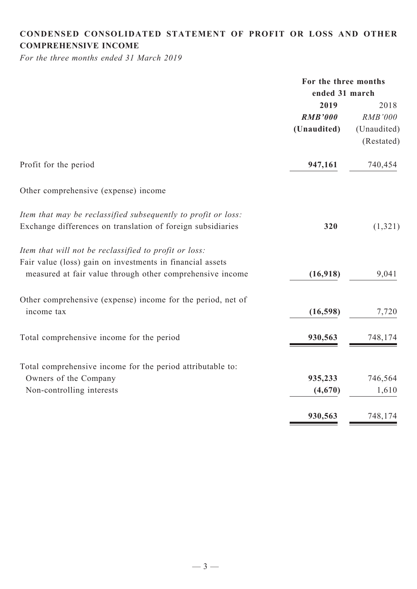# **CONDENSED CONSOLIDATED statement of Profit or Loss and Other comprehensive income**

*For the three months ended 31 March 2019*

|                                                               | For the three months |                |  |
|---------------------------------------------------------------|----------------------|----------------|--|
|                                                               | ended 31 march       |                |  |
|                                                               | 2019                 | 2018           |  |
|                                                               | <b>RMB'000</b>       | <b>RMB'000</b> |  |
|                                                               | (Unaudited)          | (Unaudited)    |  |
|                                                               |                      | (Restated)     |  |
| Profit for the period                                         | 947,161              | 740,454        |  |
| Other comprehensive (expense) income                          |                      |                |  |
| Item that may be reclassified subsequently to profit or loss: |                      |                |  |
| Exchange differences on translation of foreign subsidiaries   | 320                  | (1, 321)       |  |
| Item that will not be reclassified to profit or loss:         |                      |                |  |
| Fair value (loss) gain on investments in financial assets     |                      |                |  |
| measured at fair value through other comprehensive income     | (16,918)             | 9,041          |  |
| Other comprehensive (expense) income for the period, net of   |                      |                |  |
| income tax                                                    | (16, 598)            | 7,720          |  |
| Total comprehensive income for the period                     | 930,563              | 748,174        |  |
|                                                               |                      |                |  |
| Total comprehensive income for the period attributable to:    |                      |                |  |
| Owners of the Company                                         | 935,233              | 746,564        |  |
| Non-controlling interests                                     | (4,670)              | 1,610          |  |
|                                                               | 930,563              | 748,174        |  |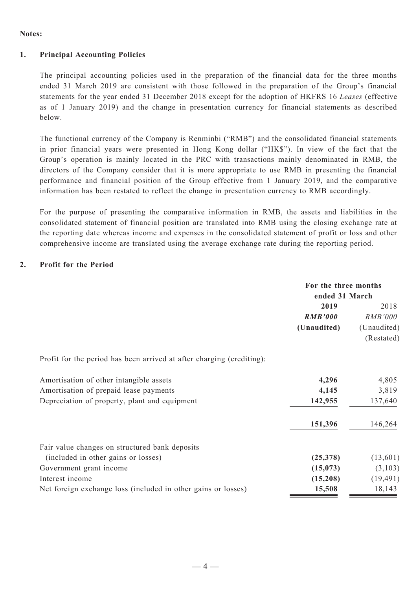#### **Notes:**

#### **1. Principal Accounting Policies**

The principal accounting policies used in the preparation of the financial data for the three months ended 31 March 2019 are consistent with those followed in the preparation of the Group's financial statements for the year ended 31 December 2018 except for the adoption of HKFRS 16 *Leases* (effective as of 1 January 2019) and the change in presentation currency for financial statements as described below.

The functional currency of the Company is Renminbi ("RMB") and the consolidated financial statements in prior financial years were presented in Hong Kong dollar ("HK\$"). In view of the fact that the Group's operation is mainly located in the PRC with transactions mainly denominated in RMB, the directors of the Company consider that it is more appropriate to use RMB in presenting the financial performance and financial position of the Group effective from 1 January 2019, and the comparative information has been restated to reflect the change in presentation currency to RMB accordingly.

For the purpose of presenting the comparative information in RMB, the assets and liabilities in the consolidated statement of financial position are translated into RMB using the closing exchange rate at the reporting date whereas income and expenses in the consolidated statement of profit or loss and other comprehensive income are translated using the average exchange rate during the reporting period.

#### **2. Profit for the Period**

|                                                                       | For the three months<br>ended 31 March |                           |
|-----------------------------------------------------------------------|----------------------------------------|---------------------------|
|                                                                       | 2019<br><b>RMB'000</b>                 | 2018<br><i>RMB'000</i>    |
|                                                                       | (Unaudited)                            | (Unaudited)<br>(Restated) |
| Profit for the period has been arrived at after charging (crediting): |                                        |                           |
| Amortisation of other intangible assets                               | 4,296                                  | 4,805                     |
| Amortisation of prepaid lease payments                                | 4,145                                  | 3,819                     |
| Depreciation of property, plant and equipment                         | 142,955                                | 137,640                   |
|                                                                       | 151,396                                | 146,264                   |
| Fair value changes on structured bank deposits                        |                                        |                           |
| (included in other gains or losses)                                   | (25,378)                               | (13,601)                  |
| Government grant income                                               | (15, 073)                              | (3,103)                   |
| Interest income                                                       | (15,208)                               | (19, 491)                 |
| Net foreign exchange loss (included in other gains or losses)         | 15,508                                 | 18,143                    |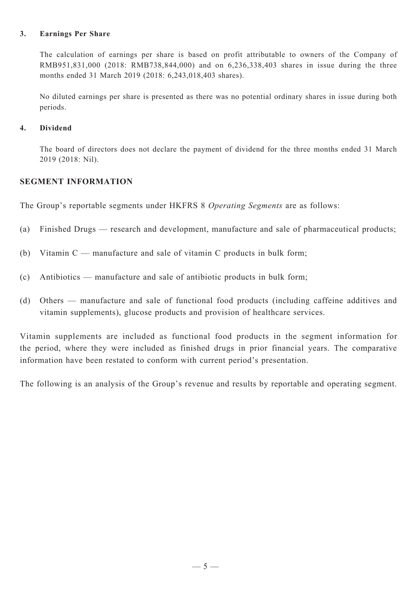#### **3. Earnings Per Share**

The calculation of earnings per share is based on profit attributable to owners of the Company of RMB951,831,000 (2018: RMB738,844,000) and on 6,236,338,403 shares in issue during the three months ended 31 March 2019 (2018: 6,243,018,403 shares).

No diluted earnings per share is presented as there was no potential ordinary shares in issue during both periods.

#### **4. Dividend**

The board of directors does not declare the payment of dividend for the three months ended 31 March 2019 (2018: Nil).

### **SEGMENT INFORMATION**

The Group's reportable segments under HKFRS 8 *Operating Segments* are as follows:

- (a) Finished Drugs research and development, manufacture and sale of pharmaceutical products;
- (b) Vitamin C manufacture and sale of vitamin C products in bulk form;
- (c) Antibiotics manufacture and sale of antibiotic products in bulk form;
- (d) Others manufacture and sale of functional food products (including caffeine additives and vitamin supplements), glucose products and provision of healthcare services.

Vitamin supplements are included as functional food products in the segment information for the period, where they were included as finished drugs in prior financial years. The comparative information have been restated to conform with current period's presentation.

The following is an analysis of the Group's revenue and results by reportable and operating segment.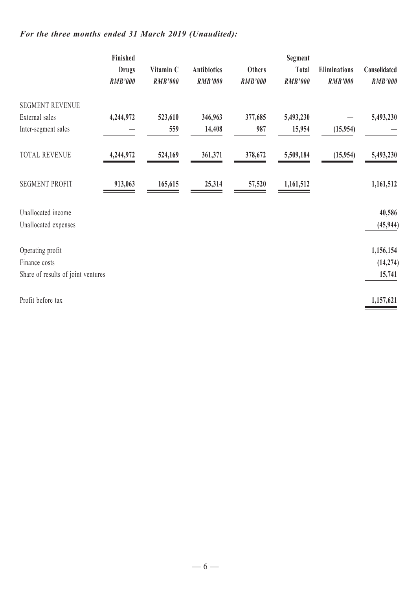# *For the three months ended 31 March 2019 (Unaudited):*

|                                    | Finished<br><b>Drugs</b><br><b>RMB'000</b> | Vitamin C<br><b>RMB'000</b> | <b>Antibiotics</b><br><b>RMB'000</b> | <b>Others</b><br><b>RMB'000</b> | Segment<br>Total<br><b>RMB'000</b> | <b>Eliminations</b><br><b>RMB'000</b> | Consolidated<br><b>RMB'000</b> |
|------------------------------------|--------------------------------------------|-----------------------------|--------------------------------------|---------------------------------|------------------------------------|---------------------------------------|--------------------------------|
| <b>SEGMENT REVENUE</b>             |                                            |                             |                                      |                                 |                                    |                                       |                                |
| External sales                     | 4,244,972                                  | 523,610                     | 346,963                              | 377,685                         | 5,493,230                          |                                       | 5,493,230                      |
| Inter-segment sales                |                                            | 559                         | 14,408                               | 987                             | 15,954                             | (15,954)                              |                                |
| <b>TOTAL REVENUE</b>               | 4,244,972                                  | 524,169                     | 361,371                              | 378,672                         | 5,509,184                          | (15,954)                              | 5,493,230                      |
| <b>SEGMENT PROFIT</b>              | 913,063                                    | 165,615                     | 25,314                               | 57,520                          | 1,161,512                          |                                       | 1,161,512                      |
| Unallocated income                 |                                            |                             |                                      |                                 |                                    |                                       | 40,586                         |
| Unallocated expenses               |                                            |                             |                                      |                                 |                                    |                                       | (45, 944)                      |
|                                    |                                            |                             |                                      |                                 |                                    |                                       |                                |
| Operating profit                   |                                            |                             |                                      |                                 |                                    |                                       | 1,156,154                      |
| Finance costs                      |                                            |                             |                                      |                                 |                                    |                                       | (14, 274)                      |
| Share of results of joint ventures |                                            |                             |                                      |                                 |                                    |                                       | 15,741                         |
| Profit before tax                  |                                            |                             |                                      |                                 |                                    |                                       | 1,157,621                      |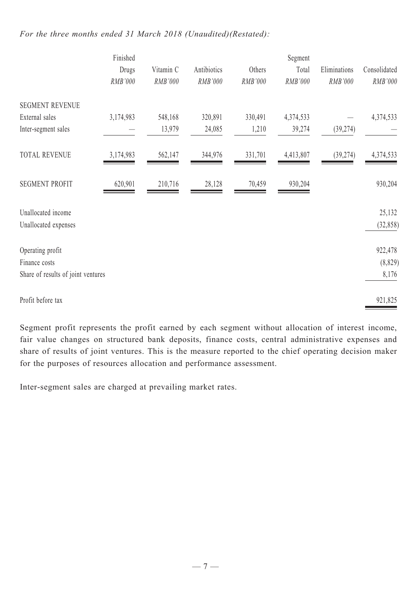### *For the three months ended 31 March 2018 (Unaudited)(Restated):*

|                                    | Finished  |           |             |         | Segment   |              |              |
|------------------------------------|-----------|-----------|-------------|---------|-----------|--------------|--------------|
|                                    | Drugs     | Vitamin C | Antibiotics | Others  | Total     | Eliminations | Consolidated |
|                                    | RMB'000   | RMB'000   | RMB'000     | RMB'000 | RMB'000   | RMB'000      | RMB'000      |
| <b>SEGMENT REVENUE</b>             |           |           |             |         |           |              |              |
| External sales                     | 3,174,983 | 548,168   | 320,891     | 330,491 | 4,374,533 |              | 4,374,533    |
| Inter-segment sales                |           | 13,979    | 24,085      | 1,210   | 39,274    | (39, 274)    |              |
| <b>TOTAL REVENUE</b>               | 3,174,983 | 562,147   | 344,976     | 331,701 | 4,413,807 | (39, 274)    | 4,374,533    |
| <b>SEGMENT PROFIT</b>              | 620,901   | 210,716   | 28,128      | 70,459  | 930,204   |              | 930,204      |
| Unallocated income                 |           |           |             |         |           |              | 25,132       |
| Unallocated expenses               |           |           |             |         |           |              | (32, 858)    |
| Operating profit                   |           |           |             |         |           |              | 922,478      |
| Finance costs                      |           |           |             |         |           |              | (8, 829)     |
| Share of results of joint ventures |           |           |             |         |           |              | 8,176        |
| Profit before tax                  |           |           |             |         |           |              | 921,825      |

Segment profit represents the profit earned by each segment without allocation of interest income, fair value changes on structured bank deposits, finance costs, central administrative expenses and share of results of joint ventures. This is the measure reported to the chief operating decision maker for the purposes of resources allocation and performance assessment.

Inter-segment sales are charged at prevailing market rates.